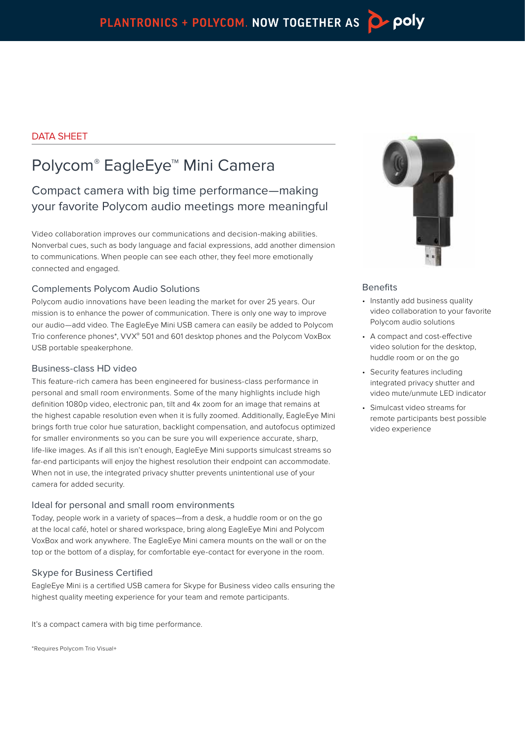### DATA SHEET

# Polycom® EagleEye™ Mini Camera

## Compact camera with big time performance—making your favorite Polycom audio meetings more meaningful

Video collaboration improves our communications and decision-making abilities. Nonverbal cues, such as body language and facial expressions, add another dimension to communications. When people can see each other, they feel more emotionally connected and engaged.

#### Complements Polycom Audio Solutions

Polycom audio innovations have been leading the market for over 25 years. Our mission is to enhance the power of communication. There is only one way to improve our audio—add video. The EagleEye Mini USB camera can easily be added to Polycom Trio conference phones\*, VVX® 501 and 601 desktop phones and the Polycom VoxBox USB portable speakerphone.

#### Business-class HD video

This feature-rich camera has been engineered for business-class performance in personal and small room environments. Some of the many highlights include high definition 1080p video, electronic pan, tilt and 4x zoom for an image that remains at the highest capable resolution even when it is fully zoomed. Additionally, EagleEye Mini brings forth true color hue saturation, backlight compensation, and autofocus optimized for smaller environments so you can be sure you will experience accurate, sharp, life-like images. As if all this isn't enough, EagleEye Mini supports simulcast streams so far-end participants will enjoy the highest resolution their endpoint can accommodate. When not in use, the integrated privacy shutter prevents unintentional use of your camera for added security.

### Ideal for personal and small room environments

Today, people work in a variety of spaces—from a desk, a huddle room or on the go at the local café, hotel or shared workspace, bring along EagleEye Mini and Polycom VoxBox and work anywhere. The EagleEye Mini camera mounts on the wall or on the top or the bottom of a display, for comfortable eye-contact for everyone in the room.

#### Skype for Business Certified

EagleEye Mini is a certified USB camera for Skype for Business video calls ensuring the highest quality meeting experience for your team and remote participants.

It's a compact camera with big time performance.

\*Requires Polycom Trio Visual+



#### **Benefits**

- Instantly add business quality video collaboration to your favorite Polycom audio solutions
- A compact and cost-effective video solution for the desktop, huddle room or on the go
- Security features including integrated privacy shutter and video mute/unmute LED indicator
- Simulcast video streams for remote participants best possible video experience